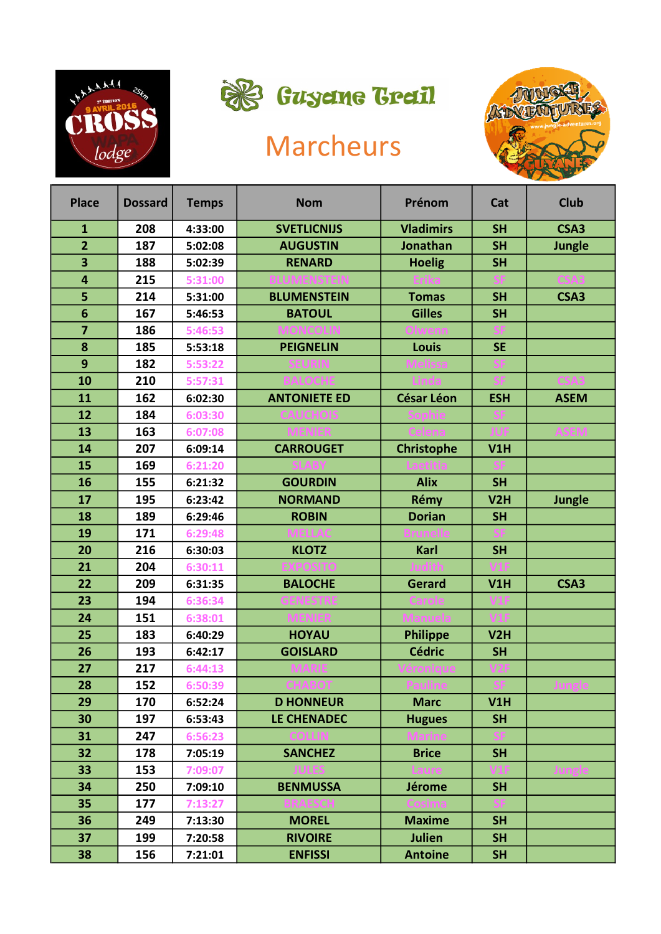



## Marcheurs



| <b>Place</b>            | <b>Dossard</b> | <b>Temps</b> | <b>Nom</b>          | Prénom            | Cat        | <b>Club</b>   |
|-------------------------|----------------|--------------|---------------------|-------------------|------------|---------------|
| $\mathbf{1}$            | 208            | 4:33:00      | <b>SVETLICNIJS</b>  | <b>Vladimirs</b>  | <b>SH</b>  | CSA3          |
| $\overline{2}$          | 187            | 5:02:08      | <b>AUGUSTIN</b>     | Jonathan          | <b>SH</b>  | <b>Jungle</b> |
| $\overline{\mathbf{3}}$ | 188            | 5:02:39      | <b>RENARD</b>       | <b>Hoelig</b>     | <b>SH</b>  |               |
| 4                       | 215            | 5:31:00      |                     |                   |            |               |
| 5                       | 214            | 5:31:00      | <b>BLUMENSTEIN</b>  | <b>Tomas</b>      | <b>SH</b>  | CSA3          |
| 6                       | 167            | 5:46:53      | <b>BATOUL</b>       | <b>Gilles</b>     | <b>SH</b>  |               |
| $\overline{\mathbf{z}}$ | 186            | 5:46:53      |                     |                   |            |               |
| 8                       | 185            | 5:53:18      | <b>PEIGNELIN</b>    | Louis             | <b>SE</b>  |               |
| 9                       | 182            | 5:53:22      |                     |                   |            |               |
| 10                      | 210            | 5:57:31      |                     |                   |            |               |
| 11                      | 162            | 6:02:30      | <b>ANTONIETE ED</b> | <b>César Léon</b> | <b>ESH</b> | <b>ASEM</b>   |
| 12                      | 184            | 6:03:30      |                     |                   |            |               |
| 13                      | 163            | 6:07:08      |                     |                   |            |               |
| 14                      | 207            | 6:09:14      | <b>CARROUGET</b>    | <b>Christophe</b> | V1H        |               |
| 15                      | 169            | 6:21:20      |                     |                   |            |               |
| 16                      | 155            | 6:21:32      | <b>GOURDIN</b>      | <b>Alix</b>       | <b>SH</b>  |               |
| 17                      | 195            | 6:23:42      | <b>NORMAND</b>      | Rémy              | V2H        | <b>Jungle</b> |
| 18                      | 189            | 6:29:46      | <b>ROBIN</b>        | <b>Dorian</b>     | <b>SH</b>  |               |
| 19                      | 171            | 6:29:48      |                     |                   |            |               |
| 20                      | 216            | 6:30:03      | <b>KLOTZ</b>        | Karl              | <b>SH</b>  |               |
| 21                      | 204            | 6:30:11      |                     |                   |            |               |
| 22                      | 209            | 6:31:35      | <b>BALOCHE</b>      | <b>Gerard</b>     | V1H        | CSA3          |
| 23                      | 194            | 6:36:34      |                     |                   |            |               |
| 24                      | 151            | 6:38:01      |                     |                   |            |               |
| 25                      | 183            | 6:40:29      | <b>HOYAU</b>        | <b>Philippe</b>   | V2H        |               |
| 26                      | 193            | 6:42:17      | <b>GOISLARD</b>     | <b>Cédric</b>     | <b>SH</b>  |               |
| 27                      | 217            | 6:44:13      |                     |                   |            |               |
| 28                      | 152            | 6:50:39      |                     |                   |            |               |
| 29                      | 170            | 6:52:24      | <b>D HONNEUR</b>    | <b>Marc</b>       | V1H        |               |
| 30                      | 197            | 6:53:43      | LE CHENADEC         | <b>Hugues</b>     | <b>SH</b>  |               |
| 31                      | 247            | 6:56:23      |                     |                   |            |               |
| 32                      | 178            | 7:05:19      | <b>SANCHEZ</b>      | <b>Brice</b>      | <b>SH</b>  |               |
| 33                      | 153            | 7:09:07      |                     |                   |            |               |
| 34                      | 250            | 7:09:10      | <b>BENMUSSA</b>     | <b>Jérome</b>     | <b>SH</b>  |               |
| 35                      | 177            | 7:13:27      |                     |                   |            |               |
| 36                      | 249            | 7:13:30      | <b>MOREL</b>        | <b>Maxime</b>     | <b>SH</b>  |               |
| 37                      | 199            | 7:20:58      | <b>RIVOIRE</b>      | Julien            | <b>SH</b>  |               |
| 38                      | 156            | 7:21:01      | <b>ENFISSI</b>      | <b>Antoine</b>    | <b>SH</b>  |               |